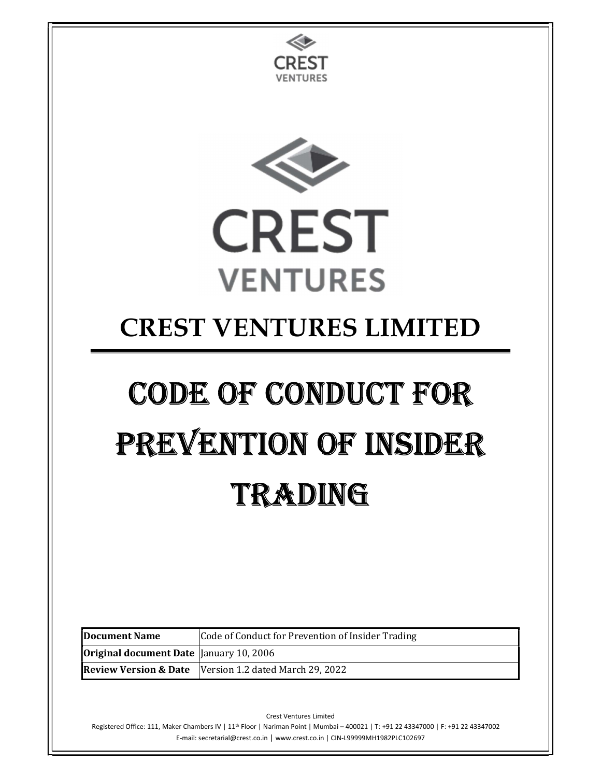

Crest Ventures Limited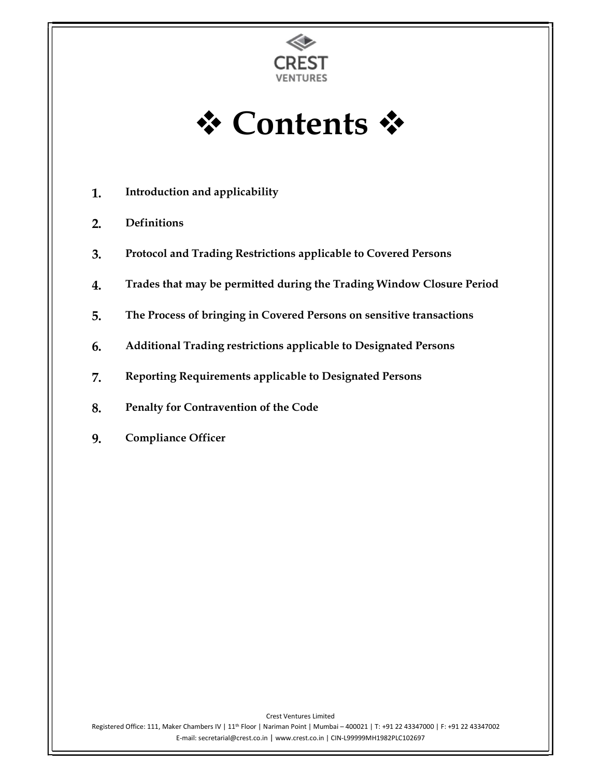

**† Contents \*** 

- 1. Introduction and applicability
- 2. Definitions
- 3. Protocol and Trading Restrictions applicable to Covered Persons
- 4. Trades that may be permitted during the Trading Window Closure Period
- 5. The Process of bringing in Covered Persons on sensitive transactions
- 6. Additional Trading restrictions applicable to Designated Persons
- 7. Reporting Requirements applicable to Designated Persons
- 8. Penalty for Contravention of the Code
- 9. Compliance Officer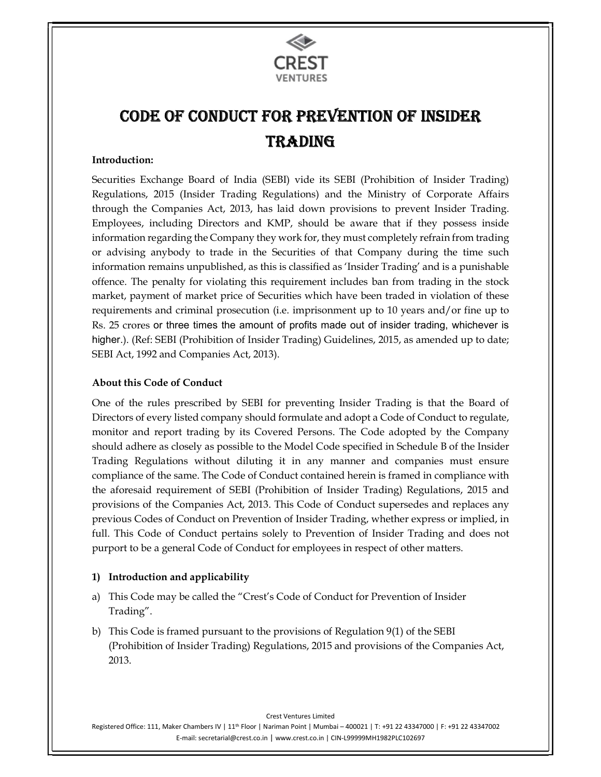

# Code of ConduCt for Prevention of insider **TRADING**

#### Introduction:

Securities Exchange Board of India (SEBI) vide its SEBI (Prohibition of Insider Trading) Regulations, 2015 (Insider Trading Regulations) and the Ministry of Corporate Affairs through the Companies Act, 2013, has laid down provisions to prevent Insider Trading. Employees, including Directors and KMP, should be aware that if they possess inside information regarding the Company they work for, they must completely refrain from trading or advising anybody to trade in the Securities of that Company during the time such information remains unpublished, as this is classified as 'Insider Trading' and is a punishable offence. The penalty for violating this requirement includes ban from trading in the stock market, payment of market price of Securities which have been traded in violation of these requirements and criminal prosecution (i.e. imprisonment up to 10 years and/or fine up to Rs. 25 crores or three times the amount of profits made out of insider trading, whichever is higher.). (Ref: SEBI (Prohibition of Insider Trading) Guidelines, 2015, as amended up to date; SEBI Act, 1992 and Companies Act, 2013).

#### About this Code of Conduct

One of the rules prescribed by SEBI for preventing Insider Trading is that the Board of Directors of every listed company should formulate and adopt a Code of Conduct to regulate, monitor and report trading by its Covered Persons. The Code adopted by the Company should adhere as closely as possible to the Model Code specified in Schedule B of the Insider Trading Regulations without diluting it in any manner and companies must ensure compliance of the same. The Code of Conduct contained herein is framed in compliance with the aforesaid requirement of SEBI (Prohibition of Insider Trading) Regulations, 2015 and provisions of the Companies Act, 2013. This Code of Conduct supersedes and replaces any previous Codes of Conduct on Prevention of Insider Trading, whether express or implied, in full. This Code of Conduct pertains solely to Prevention of Insider Trading and does not purport to be a general Code of Conduct for employees in respect of other matters.

#### 1) Introduction and applicability

- a) This Code may be called the "Crest's Code of Conduct for Prevention of Insider Trading".
- b) This Code is framed pursuant to the provisions of Regulation 9(1) of the SEBI (Prohibition of Insider Trading) Regulations, 2015 and provisions of the Companies Act, 2013.

Crest Ventures Limited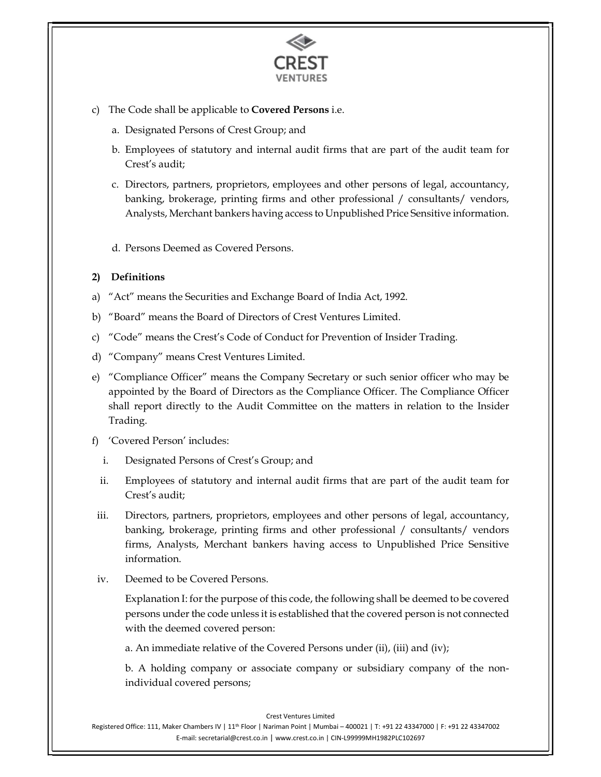

- c) The Code shall be applicable to Covered Persons i.e.
	- a. Designated Persons of Crest Group; and
	- b. Employees of statutory and internal audit firms that are part of the audit team for Crest's audit;
	- c. Directors, partners, proprietors, employees and other persons of legal, accountancy, banking, brokerage, printing firms and other professional / consultants/ vendors, Analysts, Merchant bankers having access to Unpublished Price Sensitive information.
	- d. Persons Deemed as Covered Persons.

#### 2) Definitions

- a) "Act" means the Securities and Exchange Board of India Act, 1992.
- b) "Board" means the Board of Directors of Crest Ventures Limited.
- c) "Code" means the Crest's Code of Conduct for Prevention of Insider Trading.
- d) "Company" means Crest Ventures Limited.
- e) "Compliance Officer" means the Company Secretary or such senior officer who may be appointed by the Board of Directors as the Compliance Officer. The Compliance Officer shall report directly to the Audit Committee on the matters in relation to the Insider Trading.
- f) 'Covered Person' includes:
	- i. Designated Persons of Crest's Group; and
	- ii. Employees of statutory and internal audit firms that are part of the audit team for Crest's audit;
- iii. Directors, partners, proprietors, employees and other persons of legal, accountancy, banking, brokerage, printing firms and other professional / consultants/ vendors firms, Analysts, Merchant bankers having access to Unpublished Price Sensitive information.
- iv. Deemed to be Covered Persons.

Explanation I: for the purpose of this code, the following shall be deemed to be covered persons under the code unless it is established that the covered person is not connected with the deemed covered person:

a. An immediate relative of the Covered Persons under (ii), (iii) and (iv);

b. A holding company or associate company or subsidiary company of the nonindividual covered persons;

Crest Ventures Limited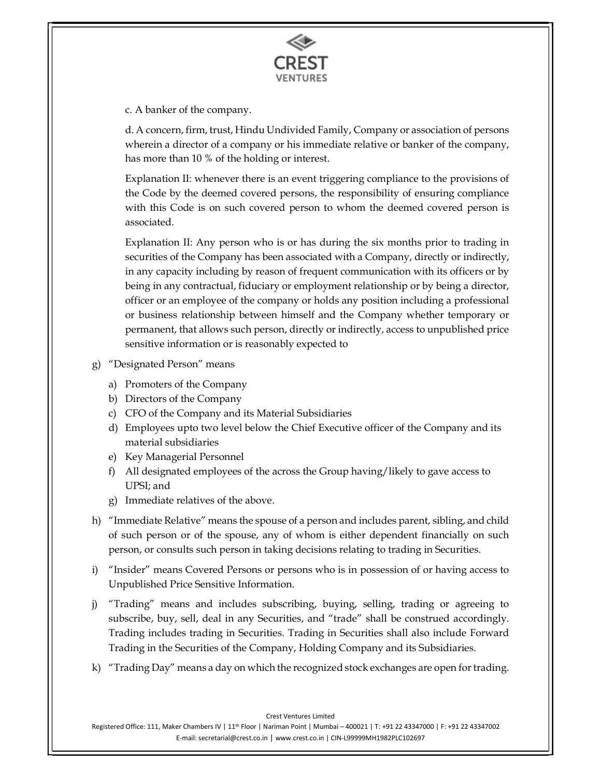

c. A banker of the company.

d. A concern, firm, trust, Hindu Undivided Family, Company or association of persons wherein a director of a company or his immediate relative or banker of the company, has more than 10 % of the holding or interest.

Explanation II: whenever there is an event triggering compliance to the provisions of the Code by the deemed covered persons, the responsibility of ensuring compliance with this Code is on such covered person to whom the deemed covered person is associated.

Explanation II: Any person who is or has during the six months prior to trading in securities of the Company has been associated with a Company, directly or indirectly, in any capacity including by reason of frequent communication with its officers or by being in any contractual, fiduciary or employment relationship or by being a director, officer or an employee of the company or holds any position including a professional or business relationship between himself and the Company whether temporary or permanent, that allows such person, directly or indirectly, access to unpublished price sensitive information or is reasonably expected to

- g) "Designated Person" means
	- a) Promoters of the Company
	- b) Directors of the Company
	- c) CFO of the Company and its Material Subsidiaries
	- d) Employees upto two level below the Chief Executive officer of the Company and its material subsidiaries
	- e) Key Managerial Personnel
	- f) All designated employees of the across the Group having/likely to gave access to UPSI; and
	- g) Immediate relatives of the above.
- h) "Immediate Relative" means the spouse of a person and includes parent, sibling, and child of such person or of the spouse, any of whom is either dependent financially on such person, or consults such person in taking decisions relating to trading in Securities.
- i) "Insider" means Covered Persons or persons who is in possession of or having access to Unpublished Price Sensitive Information.
- j) "Trading" means and includes subscribing, buying, selling, trading or agreeing to subscribe, buy, sell, deal in any Securities, and "trade" shall be construed accordingly. Trading includes trading in Securities. Trading in Securities shall also include Forward Trading in the Securities of the Company, Holding Company and its Subsidiaries.
- k) "Trading Day" means a day on which the recognized stock exchanges are open for trading.

Crest Ventures Limited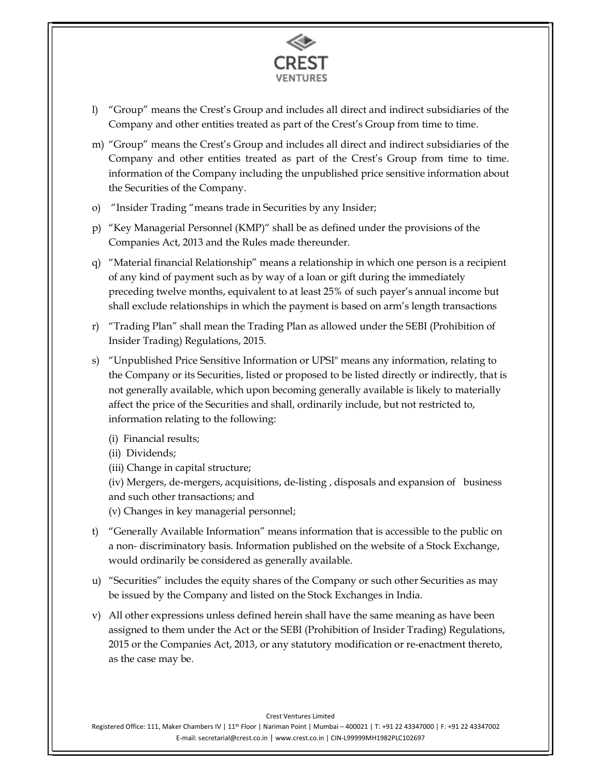

- l) "Group" means the Crest's Group and includes all direct and indirect subsidiaries of the Company and other entities treated as part of the Crest's Group from time to time.
- m) "Group" means the Crest's Group and includes all direct and indirect subsidiaries of the Company and other entities treated as part of the Crest's Group from time to time. information of the Company including the unpublished price sensitive information about the Securities of the Company.
- o) "Insider Trading "means trade in Securities by any Insider;
- p) "Key Managerial Personnel (KMP)" shall be as defined under the provisions of the Companies Act, 2013 and the Rules made thereunder.
- q) "Material financial Relationship" means a relationship in which one person is a recipient of any kind of payment such as by way of a loan or gift during the immediately preceding twelve months, equivalent to at least 25% of such payer's annual income but shall exclude relationships in which the payment is based on arm's length transactions
- r) "Trading Plan" shall mean the Trading Plan as allowed under the SEBI (Prohibition of Insider Trading) Regulations, 2015.
- s) "Unpublished Price Sensitive Information or UPSI" means any information, relating to the Company or its Securities, listed or proposed to be listed directly or indirectly, that is not generally available, which upon becoming generally available is likely to materially affect the price of the Securities and shall, ordinarily include, but not restricted to, information relating to the following:
	- (i) Financial results;
	- (ii) Dividends;
	- (iii) Change in capital structure;
	- (iv) Mergers, de-mergers, acquisitions, de-listing , disposals and expansion of business and such other transactions; and
	- (v) Changes in key managerial personnel;
- t) "Generally Available Information" means information that is accessible to the public on a non- discriminatory basis. Information published on the website of a Stock Exchange, would ordinarily be considered as generally available.
- u) "Securities" includes the equity shares of the Company or such other Securities as may be issued by the Company and listed on the Stock Exchanges in India.
- v) All other expressions unless defined herein shall have the same meaning as have been assigned to them under the Act or the SEBI (Prohibition of Insider Trading) Regulations, 2015 or the Companies Act, 2013, or any statutory modification or re-enactment thereto, as the case may be.

#### Crest Ventures Limited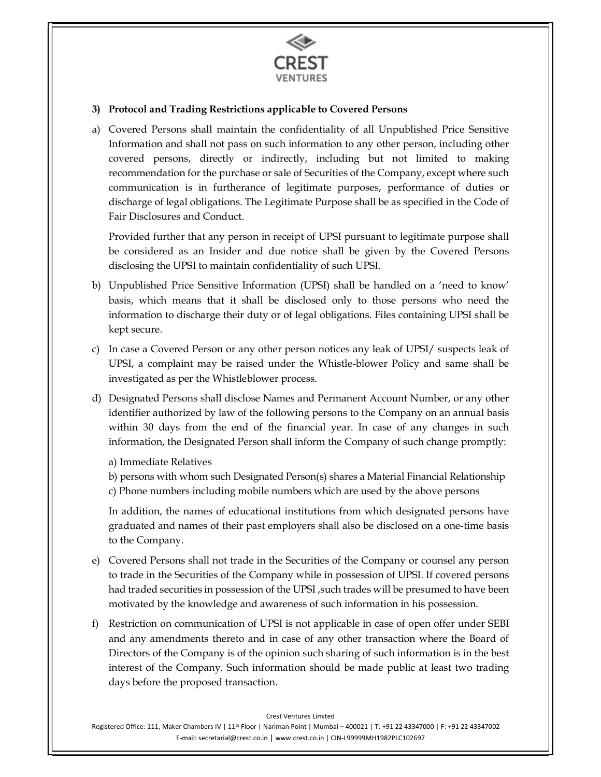

#### 3) Protocol and Trading Restrictions applicable to Covered Persons

a) Covered Persons shall maintain the confidentiality of all Unpublished Price Sensitive Information and shall not pass on such information to any other person, including other covered persons, directly or indirectly, including but not limited to making recommendation for the purchase or sale of Securities of the Company, except where such communication is in furtherance of legitimate purposes, performance of duties or discharge of legal obligations. The Legitimate Purpose shall be as specified in the Code of Fair Disclosures and Conduct.

Provided further that any person in receipt of UPSI pursuant to legitimate purpose shall be considered as an Insider and due notice shall be given by the Covered Persons disclosing the UPSI to maintain confidentiality of such UPSI.

- b) Unpublished Price Sensitive Information (UPSI) shall be handled on a 'need to know' basis, which means that it shall be disclosed only to those persons who need the information to discharge their duty or of legal obligations. Files containing UPSI shall be kept secure.
- c) In case a Covered Person or any other person notices any leak of UPSI/ suspects leak of UPSI, a complaint may be raised under the Whistle-blower Policy and same shall be investigated as per the Whistleblower process.
- d) Designated Persons shall disclose Names and Permanent Account Number, or any other identifier authorized by law of the following persons to the Company on an annual basis within 30 days from the end of the financial year. In case of any changes in such information, the Designated Person shall inform the Company of such change promptly:

a) Immediate Relatives

b) persons with whom such Designated Person(s) shares a Material Financial Relationship c) Phone numbers including mobile numbers which are used by the above persons

In addition, the names of educational institutions from which designated persons have graduated and names of their past employers shall also be disclosed on a one-time basis to the Company.

- e) Covered Persons shall not trade in the Securities of the Company or counsel any person to trade in the Securities of the Company while in possession of UPSI. If covered persons had traded securities in possession of the UPSI, such trades will be presumed to have been motivated by the knowledge and awareness of such information in his possession.
- f) Restriction on communication of UPSI is not applicable in case of open offer under SEBI and any amendments thereto and in case of any other transaction where the Board of Directors of the Company is of the opinion such sharing of such information is in the best interest of the Company. Such information should be made public at least two trading days before the proposed transaction.

Crest Ventures Limited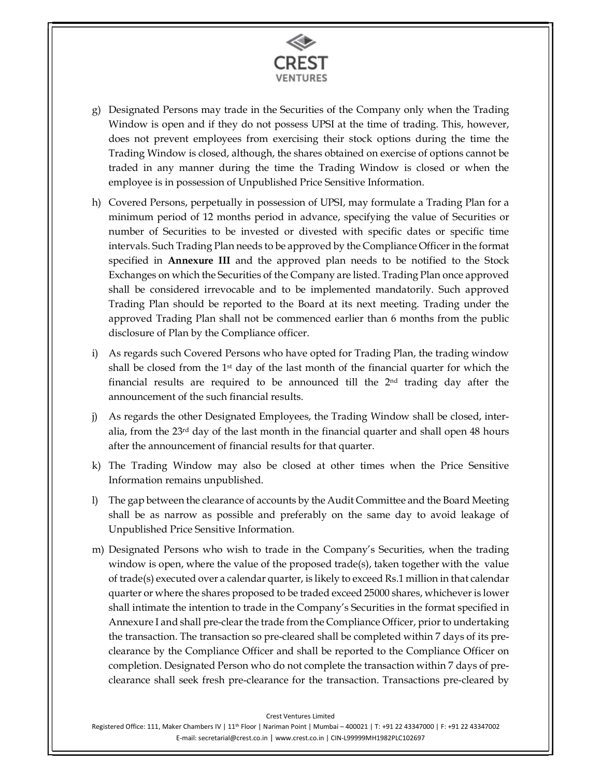

- g) Designated Persons may trade in the Securities of the Company only when the Trading Window is open and if they do not possess UPSI at the time of trading. This, however, does not prevent employees from exercising their stock options during the time the Trading Window is closed, although, the shares obtained on exercise of options cannot be traded in any manner during the time the Trading Window is closed or when the employee is in possession of Unpublished Price Sensitive Information.
- h) Covered Persons, perpetually in possession of UPSI, may formulate a Trading Plan for a minimum period of 12 months period in advance, specifying the value of Securities or number of Securities to be invested or divested with specific dates or specific time intervals. Such Trading Plan needs to be approved by the Compliance Officer in the format specified in **Annexure III** and the approved plan needs to be notified to the Stock Exchanges on which the Securities of the Company are listed. Trading Plan once approved shall be considered irrevocable and to be implemented mandatorily. Such approved Trading Plan should be reported to the Board at its next meeting. Trading under the approved Trading Plan shall not be commenced earlier than 6 months from the public disclosure of Plan by the Compliance officer.
- i) As regards such Covered Persons who have opted for Trading Plan, the trading window shall be closed from the  $1<sup>st</sup>$  day of the last month of the financial quarter for which the financial results are required to be announced till the 2nd trading day after the announcement of the such financial results.
- j) As regards the other Designated Employees, the Trading Window shall be closed, interalia, from the  $23<sup>rd</sup>$  day of the last month in the financial quarter and shall open 48 hours after the announcement of financial results for that quarter.
- k) The Trading Window may also be closed at other times when the Price Sensitive Information remains unpublished.
- l) The gap between the clearance of accounts by the Audit Committee and the Board Meeting shall be as narrow as possible and preferably on the same day to avoid leakage of Unpublished Price Sensitive Information.
- m) Designated Persons who wish to trade in the Company's Securities, when the trading window is open, where the value of the proposed trade(s), taken together with the value of trade(s) executed over a calendar quarter, is likely to exceed Rs.1 million in that calendar quarter or where the shares proposed to be traded exceed 25000 shares, whichever is lower shall intimate the intention to trade in the Company's Securities in the format specified in Annexure I and shall pre-clear the trade from the Compliance Officer, prior to undertaking the transaction. The transaction so pre-cleared shall be completed within 7 days of its preclearance by the Compliance Officer and shall be reported to the Compliance Officer on completion. Designated Person who do not complete the transaction within 7 days of preclearance shall seek fresh pre-clearance for the transaction. Transactions pre-cleared by

Crest Ventures Limited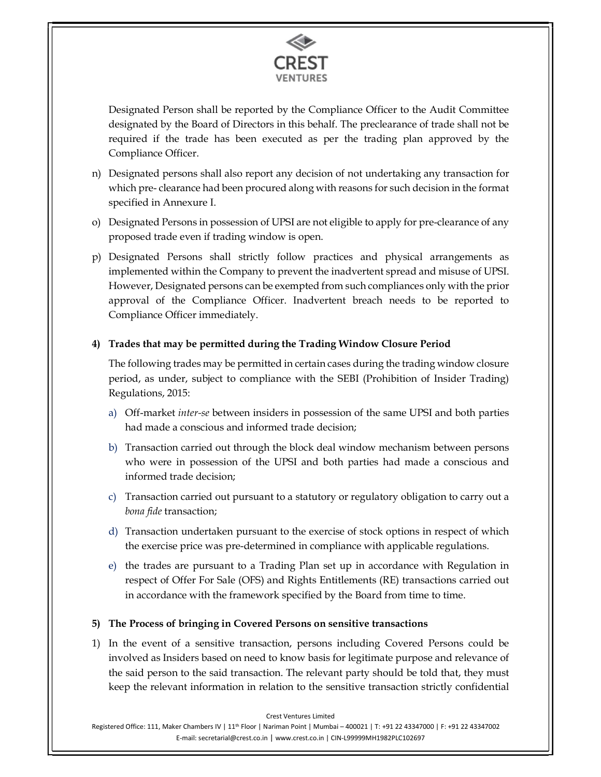

Designated Person shall be reported by the Compliance Officer to the Audit Committee designated by the Board of Directors in this behalf. The preclearance of trade shall not be required if the trade has been executed as per the trading plan approved by the Compliance Officer.

- n) Designated persons shall also report any decision of not undertaking any transaction for which pre- clearance had been procured along with reasons for such decision in the format specified in Annexure I.
- o) Designated Persons in possession of UPSI are not eligible to apply for pre-clearance of any proposed trade even if trading window is open.
- p) Designated Persons shall strictly follow practices and physical arrangements as implemented within the Company to prevent the inadvertent spread and misuse of UPSI. However, Designated persons can be exempted from such compliances only with the prior approval of the Compliance Officer. Inadvertent breach needs to be reported to Compliance Officer immediately.

#### 4) Trades that may be permitted during the Trading Window Closure Period

The following trades may be permitted in certain cases during the trading window closure period, as under, subject to compliance with the SEBI (Prohibition of Insider Trading) Regulations, 2015:

- a) Off-market inter-se between insiders in possession of the same UPSI and both parties had made a conscious and informed trade decision;
- b) Transaction carried out through the block deal window mechanism between persons who were in possession of the UPSI and both parties had made a conscious and informed trade decision;
- c) Transaction carried out pursuant to a statutory or regulatory obligation to carry out a bona fide transaction;
- d) Transaction undertaken pursuant to the exercise of stock options in respect of which the exercise price was pre-determined in compliance with applicable regulations.
- e) the trades are pursuant to a Trading Plan set up in accordance with Regulation in respect of Offer For Sale (OFS) and Rights Entitlements (RE) transactions carried out in accordance with the framework specified by the Board from time to time.

## 5) The Process of bringing in Covered Persons on sensitive transactions

1) In the event of a sensitive transaction, persons including Covered Persons could be involved as Insiders based on need to know basis for legitimate purpose and relevance of the said person to the said transaction. The relevant party should be told that, they must keep the relevant information in relation to the sensitive transaction strictly confidential

Crest Ventures Limited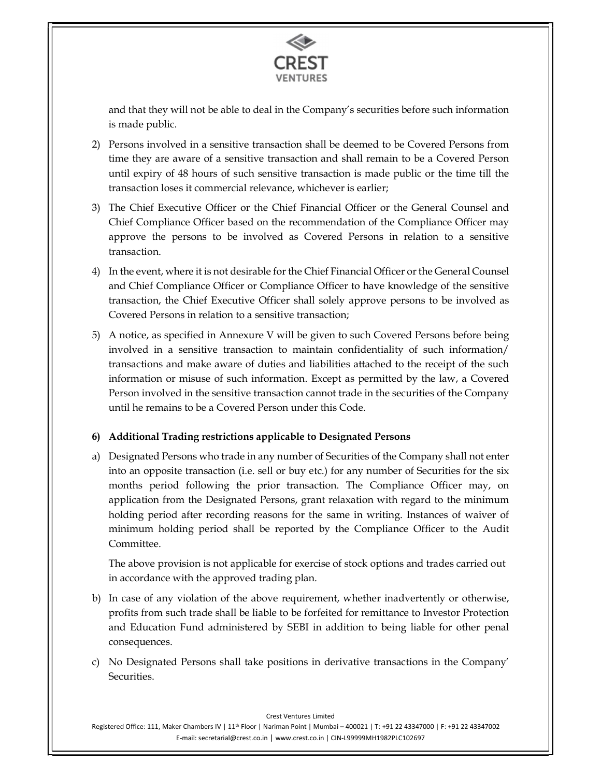

and that they will not be able to deal in the Company's securities before such information is made public.

- 2) Persons involved in a sensitive transaction shall be deemed to be Covered Persons from time they are aware of a sensitive transaction and shall remain to be a Covered Person until expiry of 48 hours of such sensitive transaction is made public or the time till the transaction loses it commercial relevance, whichever is earlier;
- 3) The Chief Executive Officer or the Chief Financial Officer or the General Counsel and Chief Compliance Officer based on the recommendation of the Compliance Officer may approve the persons to be involved as Covered Persons in relation to a sensitive transaction.
- 4) In the event, where it is not desirable for the Chief Financial Officer or the General Counsel and Chief Compliance Officer or Compliance Officer to have knowledge of the sensitive transaction, the Chief Executive Officer shall solely approve persons to be involved as Covered Persons in relation to a sensitive transaction;
- 5) A notice, as specified in Annexure V will be given to such Covered Persons before being involved in a sensitive transaction to maintain confidentiality of such information/ transactions and make aware of duties and liabilities attached to the receipt of the such information or misuse of such information. Except as permitted by the law, a Covered Person involved in the sensitive transaction cannot trade in the securities of the Company until he remains to be a Covered Person under this Code.

## 6) Additional Trading restrictions applicable to Designated Persons

a) Designated Persons who trade in any number of Securities of the Company shall not enter into an opposite transaction (i.e. sell or buy etc.) for any number of Securities for the six months period following the prior transaction. The Compliance Officer may, on application from the Designated Persons, grant relaxation with regard to the minimum holding period after recording reasons for the same in writing. Instances of waiver of minimum holding period shall be reported by the Compliance Officer to the Audit Committee.

The above provision is not applicable for exercise of stock options and trades carried out in accordance with the approved trading plan.

- b) In case of any violation of the above requirement, whether inadvertently or otherwise, profits from such trade shall be liable to be forfeited for remittance to Investor Protection and Education Fund administered by SEBI in addition to being liable for other penal consequences.
- c) No Designated Persons shall take positions in derivative transactions in the Company' Securities.

Crest Ventures Limited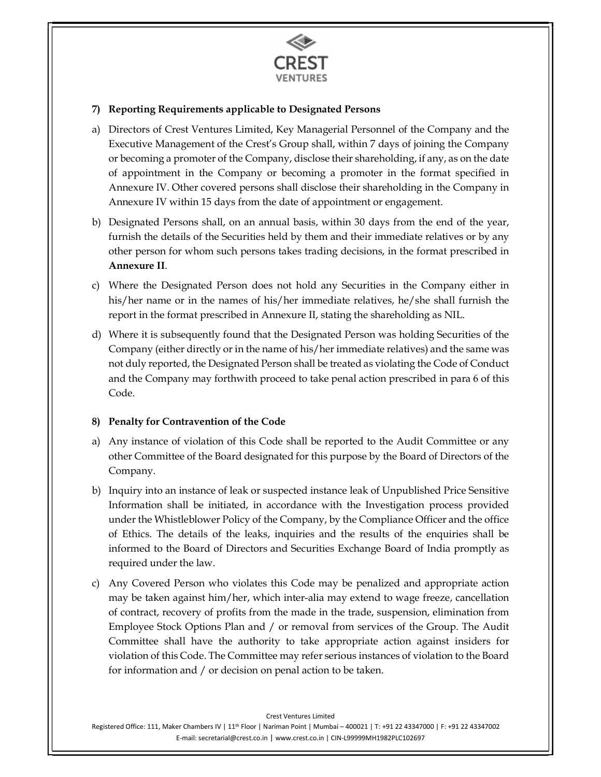

## 7) Reporting Requirements applicable to Designated Persons

- a) Directors of Crest Ventures Limited, Key Managerial Personnel of the Company and the Executive Management of the Crest's Group shall, within 7 days of joining the Company or becoming a promoter of the Company, disclose their shareholding, if any, as on the date of appointment in the Company or becoming a promoter in the format specified in Annexure IV. Other covered persons shall disclose their shareholding in the Company in Annexure IV within 15 days from the date of appointment or engagement.
- b) Designated Persons shall, on an annual basis, within 30 days from the end of the year, furnish the details of the Securities held by them and their immediate relatives or by any other person for whom such persons takes trading decisions, in the format prescribed in
- Annexure II.<br>
c) Where the Designated Person does not hold any Securities in the Company either in his/her name or in the names of his/her immediate relatives, he/she shall furnish the report in the format prescribed in Annexure II, stating the shareholding as NIL.
- d) Where it is subsequently found that the Designated Person was holding Securities of the Company (either directly or in the name of his/her immediate relatives) and the same was not duly reported, the Designated Person shall be treated as violating the Code of Conduct and the Company may forthwith proceed to take penal action prescribed in para 6 of this Code.

#### 8) Penalty for Contravention of the Code

- a) Any instance of violation of this Code shall be reported to the Audit Committee or any other Committee of the Board designated for this purpose by the Board of Directors of the Company.
- b) Inquiry into an instance of leak or suspected instance leak of Unpublished Price Sensitive Information shall be initiated, in accordance with the Investigation process provided under the Whistleblower Policy of the Company, by the Compliance Officer and the office of Ethics. The details of the leaks, inquiries and the results of the enquiries shall be informed to the Board of Directors and Securities Exchange Board of India promptly as required under the law.
- c) Any Covered Person who violates this Code may be penalized and appropriate action may be taken against him/her, which inter-alia may extend to wage freeze, cancellation of contract, recovery of profits from the made in the trade, suspension, elimination from Employee Stock Options Plan and / or removal from services of the Group. The Audit Committee shall have the authority to take appropriate action against insiders for violation of this Code. The Committee may refer serious instances of violation to the Board for information and / or decision on penal action to be taken.

Crest Ventures Limited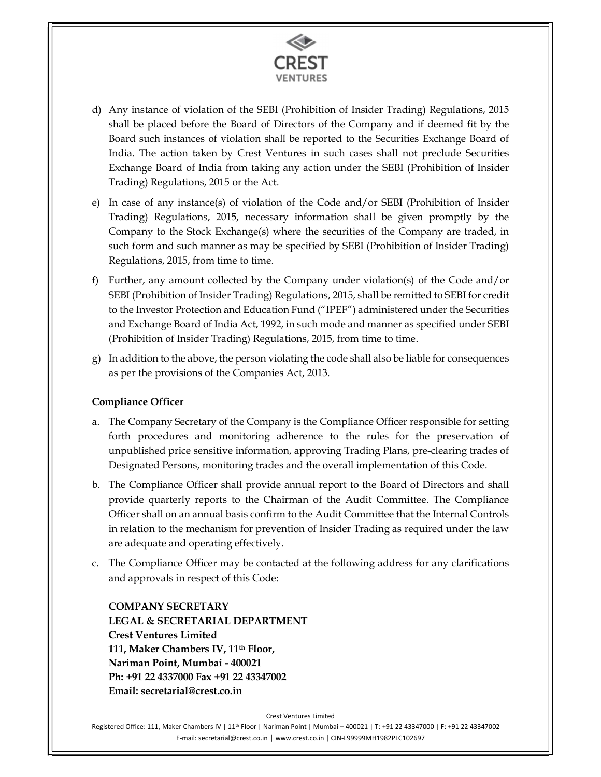

- d) Any instance of violation of the SEBI (Prohibition of Insider Trading) Regulations, 2015 shall be placed before the Board of Directors of the Company and if deemed fit by the Board such instances of violation shall be reported to the Securities Exchange Board of India. The action taken by Crest Ventures in such cases shall not preclude Securities Exchange Board of India from taking any action under the SEBI (Prohibition of Insider Trading) Regulations, 2015 or the Act.
- e) In case of any instance(s) of violation of the Code and/or SEBI (Prohibition of Insider Trading) Regulations, 2015, necessary information shall be given promptly by the Company to the Stock Exchange(s) where the securities of the Company are traded, in such form and such manner as may be specified by SEBI (Prohibition of Insider Trading) Regulations, 2015, from time to time.
- f) Further, any amount collected by the Company under violation(s) of the Code and/or SEBI (Prohibition of Insider Trading) Regulations, 2015, shall be remitted to SEBI for credit to the Investor Protection and Education Fund ("IPEF") administered under the Securities and Exchange Board of India Act, 1992, in such mode and manner as specified under SEBI (Prohibition of Insider Trading) Regulations, 2015, from time to time.
- g) In addition to the above, the person violating the code shall also be liable for consequences as per the provisions of the Companies Act, 2013.

## Compliance Officer

- a. The Company Secretary of the Company is the Compliance Officer responsible for setting forth procedures and monitoring adherence to the rules for the preservation of unpublished price sensitive information, approving Trading Plans, pre-clearing trades of Designated Persons, monitoring trades and the overall implementation of this Code.
- b. The Compliance Officer shall provide annual report to the Board of Directors and shall provide quarterly reports to the Chairman of the Audit Committee. The Compliance Officer shall on an annual basis confirm to the Audit Committee that the Internal Controls in relation to the mechanism for prevention of Insider Trading as required under the law are adequate and operating effectively.
- c. The Compliance Officer may be contacted at the following address for any clarifications and approvals in respect of this Code:

COMPANY SECRETARY LEGAL & SECRETARIAL DEPARTMENT Crest Ventures Limited 111, Maker Chambers IV, 11th Floor, Nariman Point, Mumbai - 400021 Ph: +91 22 4337000 Fax +91 22 43347002 Email: secretarial@crest.co.in

Crest Ventures Limited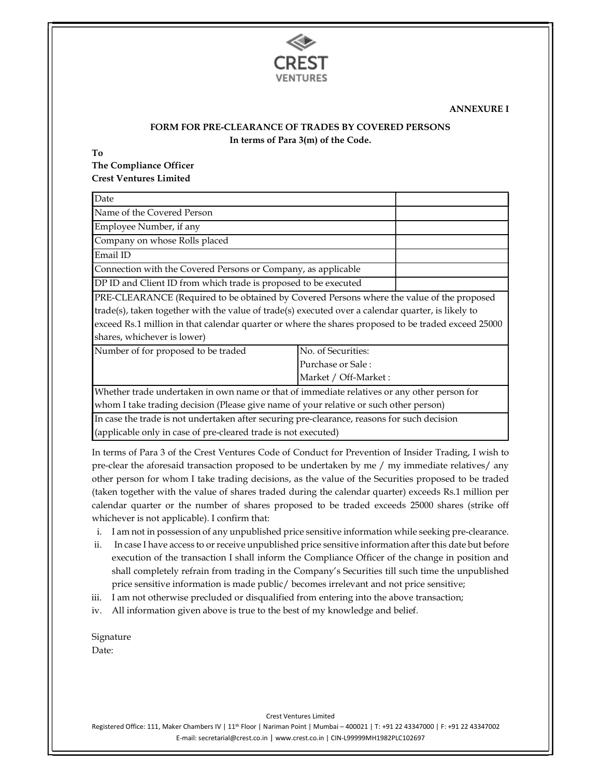

#### ANNEXURE I

#### FORM FOR PRE-CLEARANCE OF TRADES BY COVERED PERSONS In terms of Para 3(m) of the Code.

To

The Compliance Officer Crest Ventures Limited

| Date                                                                                                                                                                                                                                       |                                                                                                     |  |  |  |  |  |  |
|--------------------------------------------------------------------------------------------------------------------------------------------------------------------------------------------------------------------------------------------|-----------------------------------------------------------------------------------------------------|--|--|--|--|--|--|
| Name of the Covered Person                                                                                                                                                                                                                 |                                                                                                     |  |  |  |  |  |  |
| Employee Number, if any                                                                                                                                                                                                                    |                                                                                                     |  |  |  |  |  |  |
| Company on whose Rolls placed                                                                                                                                                                                                              |                                                                                                     |  |  |  |  |  |  |
| Email ID                                                                                                                                                                                                                                   |                                                                                                     |  |  |  |  |  |  |
| Connection with the Covered Persons or Company, as applicable                                                                                                                                                                              |                                                                                                     |  |  |  |  |  |  |
| DP ID and Client ID from which trade is proposed to be executed                                                                                                                                                                            |                                                                                                     |  |  |  |  |  |  |
|                                                                                                                                                                                                                                            | PRE-CLEARANCE (Required to be obtained by Covered Persons where the value of the proposed           |  |  |  |  |  |  |
| trade(s), taken together with the value of trade(s) executed over a calendar quarter, is likely to                                                                                                                                         |                                                                                                     |  |  |  |  |  |  |
|                                                                                                                                                                                                                                            | exceed Rs.1 million in that calendar quarter or where the shares proposed to be traded exceed 25000 |  |  |  |  |  |  |
| shares, whichever is lower)                                                                                                                                                                                                                |                                                                                                     |  |  |  |  |  |  |
| No. of Securities:<br>Number of for proposed to be traded                                                                                                                                                                                  |                                                                                                     |  |  |  |  |  |  |
| Purchase or Sale:                                                                                                                                                                                                                          |                                                                                                     |  |  |  |  |  |  |
| Market / Off-Market:                                                                                                                                                                                                                       |                                                                                                     |  |  |  |  |  |  |
| Whether trade undertaken in own name or that of immediate relatives or any other person for                                                                                                                                                |                                                                                                     |  |  |  |  |  |  |
| $\mathbf{r} \cdot \mathbf{1}$ , and the contract of the contract of the contract of the contract of the contract of the contract of the contract of the contract of the contract of the contract of the contract of the contract of the co |                                                                                                     |  |  |  |  |  |  |

whom I take trading decision (Please give name of your relative or such other person)

In case the trade is not undertaken after securing pre-clearance, reasons for such decision (applicable only in case of pre-cleared trade is not executed)

In terms of Para 3 of the Crest Ventures Code of Conduct for Prevention of Insider Trading, I wish to pre-clear the aforesaid transaction proposed to be undertaken by me / my immediate relatives/ any other person for whom I take trading decisions, as the value of the Securities proposed to be traded (taken together with the value of shares traded during the calendar quarter) exceeds Rs.1 million per calendar quarter or the number of shares proposed to be traded exceeds 25000 shares (strike off whichever is not applicable). I confirm that:

- i. I am not in possession of any unpublished price sensitive information while seeking pre-clearance.
- ii. In case I have access to or receive unpublished price sensitive information after this date but before execution of the transaction I shall inform the Compliance Officer of the change in position and shall completely refrain from trading in the Company's Securities till such time the unpublished price sensitive information is made public/ becomes irrelevant and not price sensitive;
- iii. I am not otherwise precluded or disqualified from entering into the above transaction;
- iv. All information given above is true to the best of my knowledge and belief.

Signature Date:

Crest Ventures Limited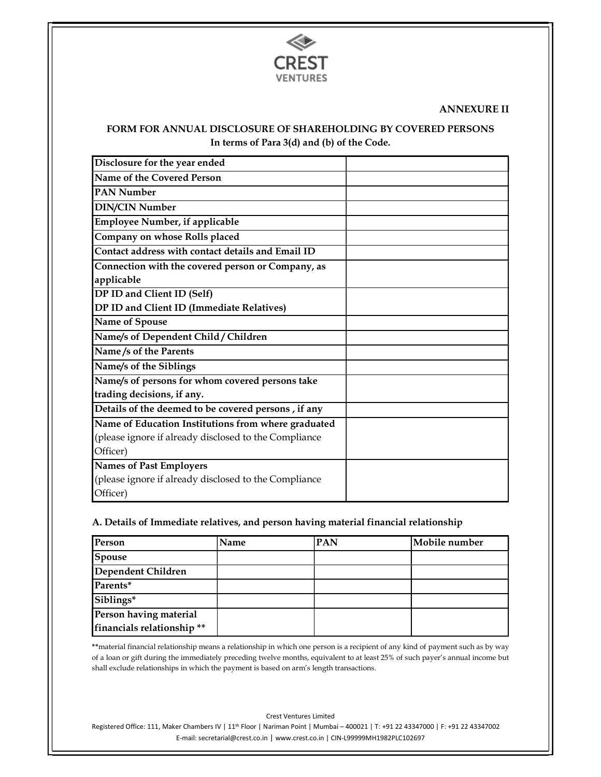

#### ANNEXURE II

#### FORM FOR ANNUAL DISCLOSURE OF SHAREHOLDING BY COVERED PERSONS In terms of Para 3(d) and (b) of the Code.

| Disclosure for the year ended                         |  |
|-------------------------------------------------------|--|
| Name of the Covered Person                            |  |
| <b>PAN Number</b>                                     |  |
| <b>DIN/CIN Number</b>                                 |  |
| <b>Employee Number, if applicable</b>                 |  |
| Company on whose Rolls placed                         |  |
| Contact address with contact details and Email ID     |  |
| Connection with the covered person or Company, as     |  |
| applicable                                            |  |
| DP ID and Client ID (Self)                            |  |
| DP ID and Client ID (Immediate Relatives)             |  |
| Name of Spouse                                        |  |
| Name/s of Dependent Child / Children                  |  |
| Name/s of the Parents                                 |  |
| Name/s of the Siblings                                |  |
| Name/s of persons for whom covered persons take       |  |
| trading decisions, if any.                            |  |
| Details of the deemed to be covered persons, if any   |  |
| Name of Education Institutions from where graduated   |  |
| (please ignore if already disclosed to the Compliance |  |
| Officer)                                              |  |
| <b>Names of Past Employers</b>                        |  |
| (please ignore if already disclosed to the Compliance |  |
| Officer)                                              |  |

#### A. Details of Immediate relatives, and person having material financial relationship

| Person                     | <b>Name</b> | <b>PAN</b> | Mobile number |
|----------------------------|-------------|------------|---------------|
| Spouse                     |             |            |               |
| Dependent Children         |             |            |               |
| Parents*                   |             |            |               |
| Siblings*                  |             |            |               |
| Person having material     |             |            |               |
| financials relationship ** |             |            |               |

 \*\*material financial relationship means a relationship in which one person is a recipient of any kind of payment such as by way of a loan or gift during the immediately preceding twelve months, equivalent to at least 25% of such payer's annual income but shall exclude relationships in which the payment is based on arm's length transactions.

Crest Ventures Limited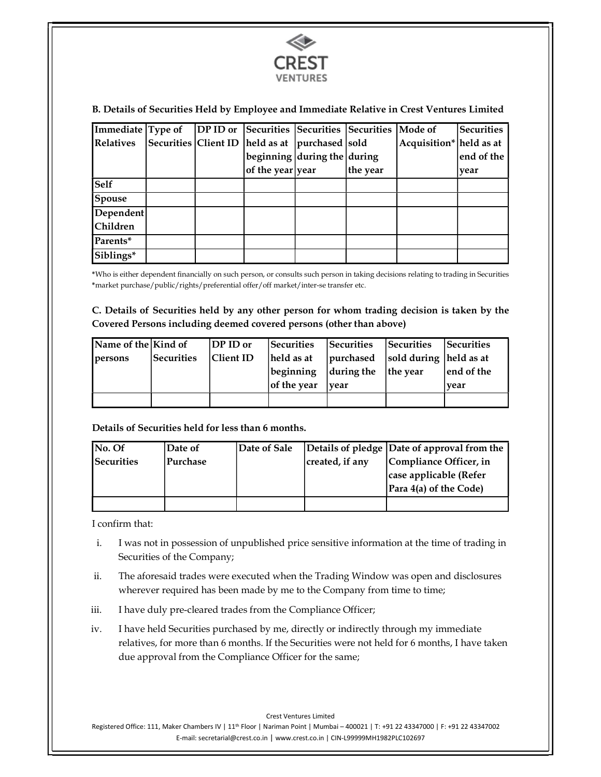

#### B. Details of Securities Held by Employee and Immediate Relative in Crest Ventures Limited

| <b>Immediate Type of</b> DP ID or Securities Securities Securities Mode of |  |                                                      |          |                         | Securities |
|----------------------------------------------------------------------------|--|------------------------------------------------------|----------|-------------------------|------------|
| Relatives                                                                  |  | Securities Client ID   held as at   purchased   sold |          | Acquisition* held as at |            |
|                                                                            |  | $\log$ beginning during the during                   |          |                         | end of the |
|                                                                            |  | of the year year                                     | the year |                         | vear       |
| <b>Self</b>                                                                |  |                                                      |          |                         |            |
| Spouse                                                                     |  |                                                      |          |                         |            |
| Dependent                                                                  |  |                                                      |          |                         |            |
| <b>Children</b>                                                            |  |                                                      |          |                         |            |
| Parents*                                                                   |  |                                                      |          |                         |            |
| Siblings*                                                                  |  |                                                      |          |                         |            |

\*Who is either dependent financially on such person, or consults such person in taking decisions relating to trading in Securities \*market purchase/public/rights/preferential offer/off market/inter-se transfer etc.

#### C. Details of Securities held by any other person for whom trading decision is taken by the Covered Persons including deemed covered persons (other than above)

| Name of the Kind of |            | DP ID or         | Securities  | Securities                           | Securities | Securities  |
|---------------------|------------|------------------|-------------|--------------------------------------|------------|-------------|
| persons             | Securities | <b>Client ID</b> | held as at  | purchased   sold during   held as at |            |             |
|                     |            |                  | beginning   | $ $ during the $ $ the year          |            | lend of the |
|                     |            |                  | of the year | vear                                 |            | vear        |
|                     |            |                  |             |                                      |            |             |

#### Details of Securities held for less than 6 months.

| No. Of            | Date of  | Date of Sale |                 | Details of pledge Date of approval from the |
|-------------------|----------|--------------|-----------------|---------------------------------------------|
| <b>Securities</b> | Purchase |              | created, if any | Compliance Officer, in                      |
|                   |          |              |                 | case applicable (Refer                      |
|                   |          |              |                 | Para $4(a)$ of the Code)                    |
|                   |          |              |                 |                                             |

I confirm that:

- i. I was not in possession of unpublished price sensitive information at the time of trading in Securities of the Company;
- ii. The aforesaid trades were executed when the Trading Window was open and disclosures wherever required has been made by me to the Company from time to time;
- iii. I have duly pre-cleared trades from the Compliance Officer;
- iv. I have held Securities purchased by me, directly or indirectly through my immediate relatives, for more than 6 months. If the Securities were not held for 6 months, I have taken due approval from the Compliance Officer for the same;

Crest Ventures Limited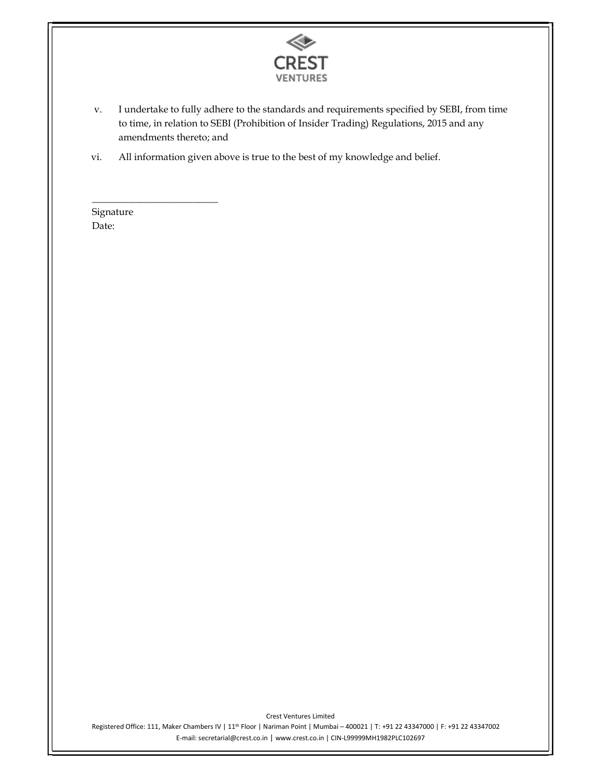

- v. I undertake to fully adhere to the standards and requirements specified by SEBI, from time to time, in relation to SEBI (Prohibition of Insider Trading) Regulations, 2015 and any amendments thereto; and
- vi. All information given above is true to the best of my knowledge and belief.<br> $\overline{\text{Signature}}$

Date: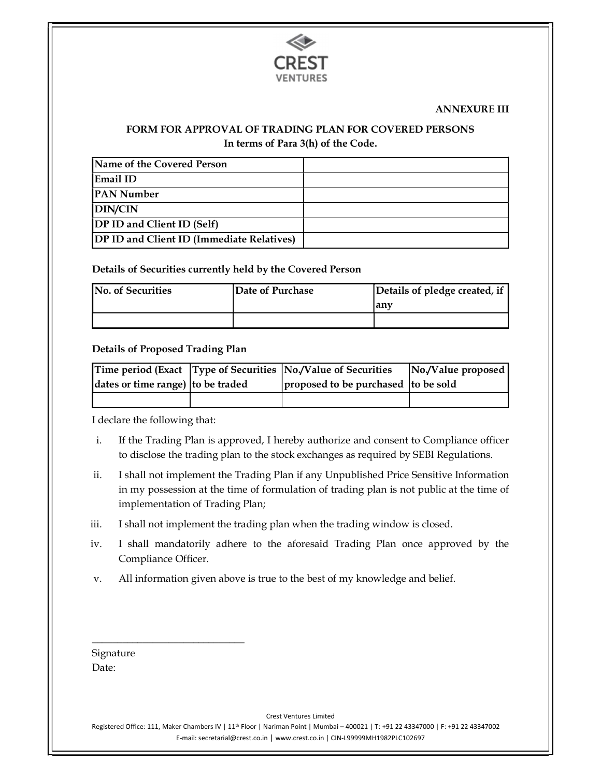

#### ANNEXURE III

## FORM FOR APPROVAL OF TRADING PLAN FOR COVERED PERSONS In terms of Para 3(h) of the Code.

| Name of the Covered Person                |  |
|-------------------------------------------|--|
| Email ID                                  |  |
| <b>PAN Number</b>                         |  |
| DIN/CIN                                   |  |
| <b>DP ID and Client ID (Self)</b>         |  |
| DP ID and Client ID (Immediate Relatives) |  |

#### Details of Securities currently held by the Covered Person

| <b>No. of Securities</b> | Date of Purchase | Details of pledge created, if |  |
|--------------------------|------------------|-------------------------------|--|
|                          |                  | rany                          |  |
|                          |                  |                               |  |

#### Details of Proposed Trading Plan

|                                   | Time period (Exact   Type of Securities   No./Value of Securities | No./Value proposed |  |
|-----------------------------------|-------------------------------------------------------------------|--------------------|--|
| dates or time range) to be traded | proposed to be purchased to be sold                               |                    |  |
|                                   |                                                                   |                    |  |

I declare the following that:

- i. If the Trading Plan is approved, I hereby authorize and consent to Compliance officer to disclose the trading plan to the stock exchanges as required by SEBI Regulations.
- ii. I shall not implement the Trading Plan if any Unpublished Price Sensitive Information in my possession at the time of formulation of trading plan is not public at the time of implementation of Trading Plan;
- iii. I shall not implement the trading plan when the trading window is closed.
- iv. I shall mandatorily adhere to the aforesaid Trading Plan once approved by the Compliance Officer.
- v. All information given above is true to the best of my knowledge and belief.

| Signature |
|-----------|
| Date:     |

Crest Ventures Limited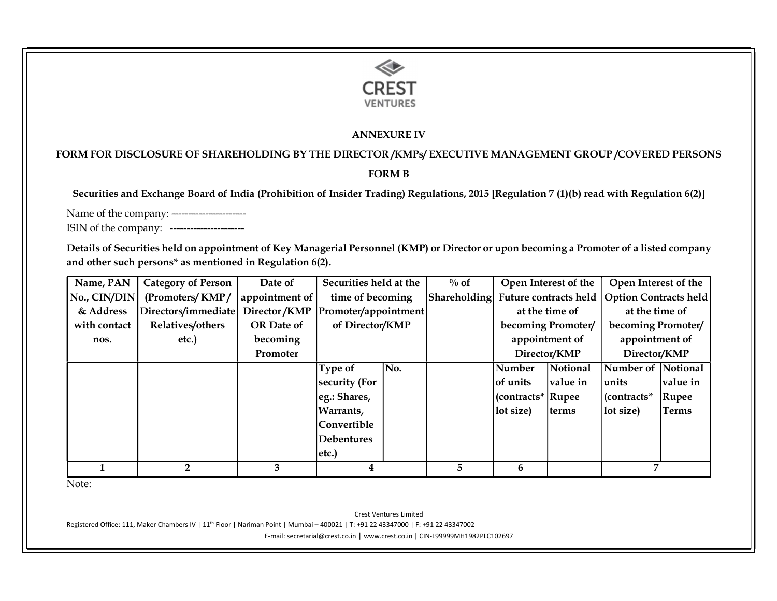

#### ANNEXURE IV

# FORM FOR DISCLOSURE OF SHAREHOLDING BY THE DIRECTOR /KMPs/ EXECUTIVE MANAGEMENT GROUP /COVERED PERSONS

#### FORM B

Securities and Exchange Board of India (Prohibition of Insider Trading) Regulations, 2015 [Regulation 7 (1)(b) read with Regulation 6(2)]

Name of the company: -----------------------

ISIN of the company: ----------------------

Details of Securities held on appointment of Key Managerial Personnel (KMP) or Director or upon becoming a Promoter of a listed company and other such persons\* as mentioned in Regulation 6(2).

| Name, PAN    | <b>Category of Person</b>                               | Date of        | Securities held at the |     | $\%$ of |                    | Open Interest of the | Open Interest of the                                     |              |
|--------------|---------------------------------------------------------|----------------|------------------------|-----|---------|--------------------|----------------------|----------------------------------------------------------|--------------|
|              | No., CIN/DIN   (Promoters/KMP/                          | appointment of | time of becoming       |     |         |                    |                      | Shareholding Future contracts held Option Contracts held |              |
| & Address    | Directors/immediate  Director/KMP  Promoter/appointment |                |                        |     |         | at the time of     |                      | at the time of                                           |              |
| with contact | Relatives/others                                        | OR Date of     | of Director/KMP        |     |         | becoming Promoter/ |                      | becoming Promoter/                                       |              |
| nos.         | etc.)                                                   | becoming       |                        |     |         |                    | appointment of       | appointment of                                           |              |
|              |                                                         | Promoter       |                        |     |         |                    | Director/KMP         | Director/KMP                                             |              |
|              |                                                         |                | Type of                | No. |         | Number             | Notional             | Number of Notional                                       |              |
|              |                                                         |                | security (For          |     |         | of units           | value in             | units                                                    | value in     |
|              |                                                         |                | eg.: Shares,           |     |         | (contracts* Rupee  |                      | $ $ (contracts*                                          | Rupee        |
|              |                                                         |                | Warrants,              |     |         | lot size)          | terms                | lot size)                                                | <b>Terms</b> |
|              |                                                         |                | Convertible            |     |         |                    |                      |                                                          |              |
|              |                                                         |                | <b>Debentures</b>      |     |         |                    |                      |                                                          |              |
|              |                                                         |                | etc.)                  |     |         |                    |                      |                                                          |              |
|              |                                                         |                |                        |     | 5.      | 6                  |                      |                                                          |              |

Note:

Crest Ventures Limited

Registered Office: 111, Maker Chambers IV | 11<sup>th</sup> Floor | Nariman Point | Mumbai – 400021 | T: +91 22 43347000 | F: +91 22 43347002

E-mail: secretarial@crest.co.in | www.crest.co.in | CIN-L99999MH1982PLC102697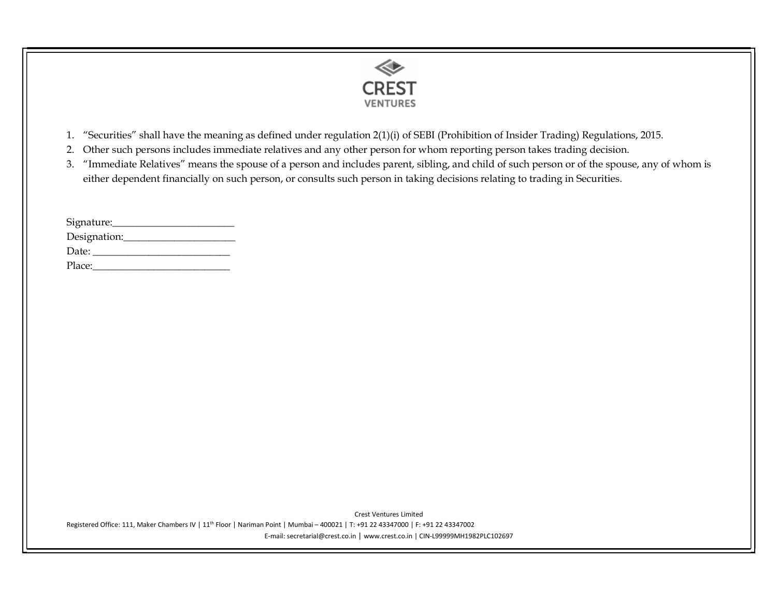

- 1. "Securities" shall have the meaning as defined under regulation 2(1)(i) of SEBI (Prohibition of Insider Trading) Regulations, 2015.
- 2. Other such persons includes immediate relatives and any other person for whom reporting person takes trading decision.
- 3. "Immediate Relatives" means the spouse of a person and includes parent, sibling, and child of such person or of the spouse, any of whom is either dependent financially on such person, or consults such person in taking decisions relating to trading in Securities.

| Signature:   |  |
|--------------|--|
| Designation: |  |
| Date:        |  |
| Place:       |  |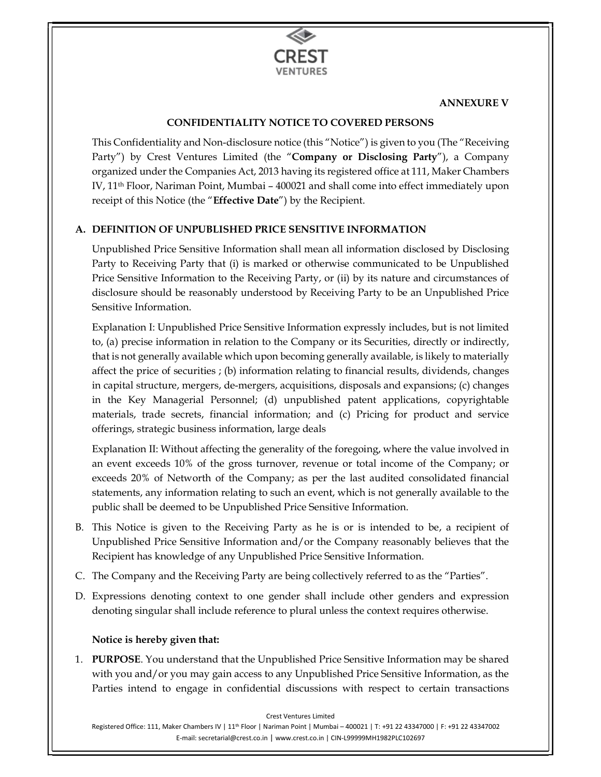

#### ANNEXURE V

## CONFIDENTIALITY NOTICE TO COVERED PERSONS

This Confidentiality and Non-disclosure notice (this "Notice") is given to you (The "Receiving Party") by Crest Ventures Limited (the "Company or Disclosing Party"), a Company organized under the Companies Act, 2013 having its registered office at 111, Maker Chambers IV, 11th Floor, Nariman Point, Mumbai – 400021 and shall come into effect immediately upon receipt of this Notice (the "Effective Date") by the Recipient.

## A. DEFINITION OF UNPUBLISHED PRICE SENSITIVE INFORMATION

Unpublished Price Sensitive Information shall mean all information disclosed by Disclosing Party to Receiving Party that (i) is marked or otherwise communicated to be Unpublished Price Sensitive Information to the Receiving Party, or (ii) by its nature and circumstances of disclosure should be reasonably understood by Receiving Party to be an Unpublished Price Sensitive Information.

Explanation I: Unpublished Price Sensitive Information expressly includes, but is not limited to, (a) precise information in relation to the Company or its Securities, directly or indirectly, that is not generally available which upon becoming generally available, is likely to materially affect the price of securities ; (b) information relating to financial results, dividends, changes in capital structure, mergers, de-mergers, acquisitions, disposals and expansions; (c) changes in the Key Managerial Personnel; (d) unpublished patent applications, copyrightable materials, trade secrets, financial information; and (c) Pricing for product and service offerings, strategic business information, large deals

Explanation II: Without affecting the generality of the foregoing, where the value involved in an event exceeds 10% of the gross turnover, revenue or total income of the Company; or exceeds 20% of Networth of the Company; as per the last audited consolidated financial statements, any information relating to such an event, which is not generally available to the public shall be deemed to be Unpublished Price Sensitive Information.

- B. This Notice is given to the Receiving Party as he is or is intended to be, a recipient of Unpublished Price Sensitive Information and/or the Company reasonably believes that the Recipient has knowledge of any Unpublished Price Sensitive Information.
- C. The Company and the Receiving Party are being collectively referred to as the "Parties".
- D. Expressions denoting context to one gender shall include other genders and expression denoting singular shall include reference to plural unless the context requires otherwise.

## Notice is hereby given that:

1. PURPOSE. You understand that the Unpublished Price Sensitive Information may be shared with you and/or you may gain access to any Unpublished Price Sensitive Information, as the Parties intend to engage in confidential discussions with respect to certain transactions

Crest Ventures Limited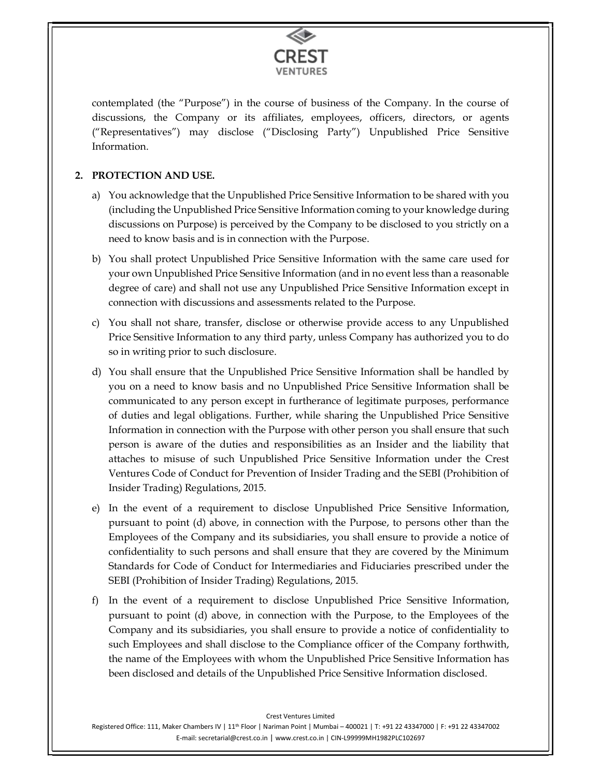

contemplated (the "Purpose") in the course of business of the Company. In the course of discussions, the Company or its affiliates, employees, officers, directors, or agents ("Representatives") may disclose ("Disclosing Party") Unpublished Price Sensitive Information.

## 2. PROTECTION AND USE.

- a) You acknowledge that the Unpublished Price Sensitive Information to be shared with you (including the Unpublished Price Sensitive Information coming to your knowledge during discussions on Purpose) is perceived by the Company to be disclosed to you strictly on a need to know basis and is in connection with the Purpose.
- b) You shall protect Unpublished Price Sensitive Information with the same care used for your own Unpublished Price Sensitive Information (and in no event less than a reasonable degree of care) and shall not use any Unpublished Price Sensitive Information except in connection with discussions and assessments related to the Purpose.
- c) You shall not share, transfer, disclose or otherwise provide access to any Unpublished Price Sensitive Information to any third party, unless Company has authorized you to do so in writing prior to such disclosure.
- d) You shall ensure that the Unpublished Price Sensitive Information shall be handled by you on a need to know basis and no Unpublished Price Sensitive Information shall be communicated to any person except in furtherance of legitimate purposes, performance of duties and legal obligations. Further, while sharing the Unpublished Price Sensitive Information in connection with the Purpose with other person you shall ensure that such person is aware of the duties and responsibilities as an Insider and the liability that attaches to misuse of such Unpublished Price Sensitive Information under the Crest Ventures Code of Conduct for Prevention of Insider Trading and the SEBI (Prohibition of Insider Trading) Regulations, 2015.
- e) In the event of a requirement to disclose Unpublished Price Sensitive Information, pursuant to point (d) above, in connection with the Purpose, to persons other than the Employees of the Company and its subsidiaries, you shall ensure to provide a notice of confidentiality to such persons and shall ensure that they are covered by the Minimum Standards for Code of Conduct for Intermediaries and Fiduciaries prescribed under the SEBI (Prohibition of Insider Trading) Regulations, 2015.
- f) In the event of a requirement to disclose Unpublished Price Sensitive Information, pursuant to point (d) above, in connection with the Purpose, to the Employees of the Company and its subsidiaries, you shall ensure to provide a notice of confidentiality to such Employees and shall disclose to the Compliance officer of the Company forthwith, the name of the Employees with whom the Unpublished Price Sensitive Information has been disclosed and details of the Unpublished Price Sensitive Information disclosed.

Crest Ventures Limited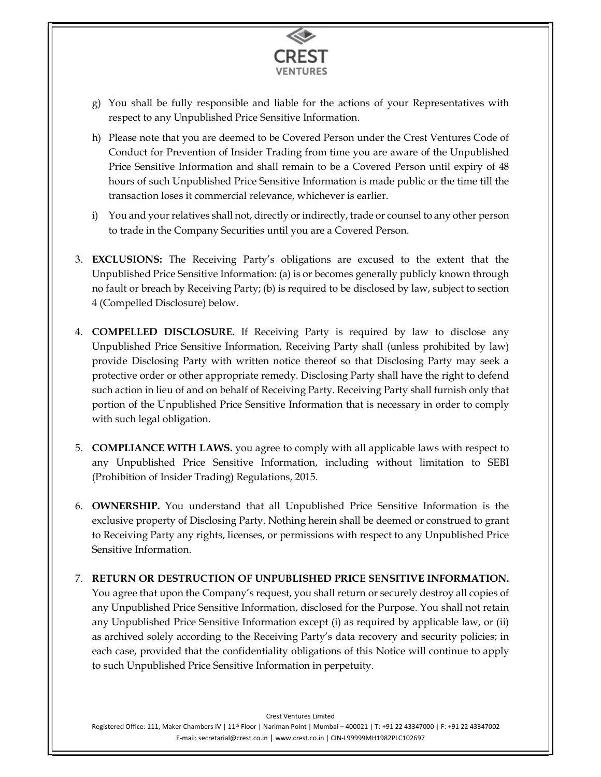

- g) You shall be fully responsible and liable for the actions of your Representatives with respect to any Unpublished Price Sensitive Information.
- h) Please note that you are deemed to be Covered Person under the Crest Ventures Code of Conduct for Prevention of Insider Trading from time you are aware of the Unpublished Price Sensitive Information and shall remain to be a Covered Person until expiry of 48 hours of such Unpublished Price Sensitive Information is made public or the time till the transaction loses it commercial relevance, whichever is earlier.
- i) You and your relatives shall not, directly or indirectly, trade or counsel to any other person to trade in the Company Securities until you are a Covered Person.
- 3. EXCLUSIONS: The Receiving Party's obligations are excused to the extent that the Unpublished Price Sensitive Information: (a) is or becomes generally publicly known through no fault or breach by Receiving Party; (b) is required to be disclosed by law, subject to section 4 (Compelled Disclosure) below.
- 4. COMPELLED DISCLOSURE. If Receiving Party is required by law to disclose any Unpublished Price Sensitive Information, Receiving Party shall (unless prohibited by law) provide Disclosing Party with written notice thereof so that Disclosing Party may seek a protective order or other appropriate remedy. Disclosing Party shall have the right to defend such action in lieu of and on behalf of Receiving Party. Receiving Party shall furnish only that portion of the Unpublished Price Sensitive Information that is necessary in order to comply with such legal obligation.
- 5. COMPLIANCE WITH LAWS. you agree to comply with all applicable laws with respect to any Unpublished Price Sensitive Information, including without limitation to SEBI (Prohibition of Insider Trading) Regulations, 2015.
- 6. OWNERSHIP. You understand that all Unpublished Price Sensitive Information is the exclusive property of Disclosing Party. Nothing herein shall be deemed or construed to grant to Receiving Party any rights, licenses, or permissions with respect to any Unpublished Price Sensitive Information.

#### 7. RETURN OR DESTRUCTION OF UNPUBLISHED PRICE SENSITIVE INFORMATION.

You agree that upon the Company's request, you shall return or securely destroy all copies of any Unpublished Price Sensitive Information, disclosed for the Purpose. You shall not retain any Unpublished Price Sensitive Information except (i) as required by applicable law, or (ii) as archived solely according to the Receiving Party's data recovery and security policies; in each case, provided that the confidentiality obligations of this Notice will continue to apply to such Unpublished Price Sensitive Information in perpetuity.

#### Crest Ventures Limited